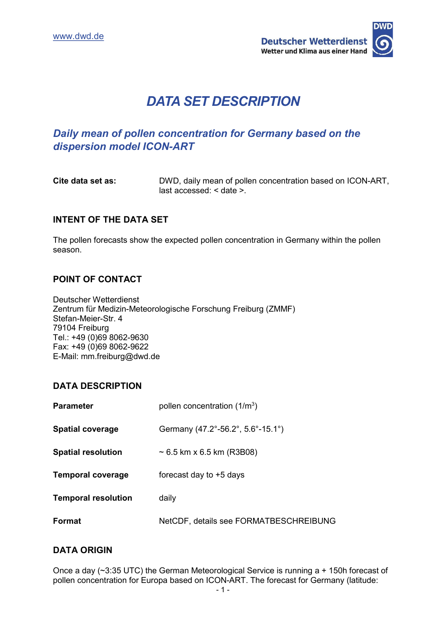

# *DATA SET DESCRIPTION*

# *Daily mean of pollen concentration for Germany based on the dispersion model ICON-ART*

**Cite data set as:** DWD, daily mean of pollen concentration based on ICON-ART, last accessed: < date >.

# **INTENT OF THE DATA SET**

The pollen forecasts show the expected pollen concentration in Germany within the pollen season.

#### **POINT OF CONTACT**

Deutscher Wetterdienst Zentrum für Medizin-Meteorologische Forschung Freiburg (ZMMF) Stefan-Meier-Str. 4 79104 Freiburg Tel.: +49 (0)69 8062-9630 Fax: +49 (0)69 8062-9622 E-Mail: mm.freiburg@dwd.de

## **DATA DESCRIPTION**

| <b>Parameter</b>           | pollen concentration $(1/m3)$          |  |
|----------------------------|----------------------------------------|--|
| <b>Spatial coverage</b>    | Germany (47.2°-56.2°, 5.6°-15.1°)      |  |
| <b>Spatial resolution</b>  | $\sim$ 6.5 km x 6.5 km (R3B08)         |  |
| <b>Temporal coverage</b>   | forecast day to +5 days                |  |
| <b>Temporal resolution</b> | daily                                  |  |
| Format                     | NetCDF, details see FORMATBESCHREIBUNG |  |

## **DATA ORIGIN**

Once a day (~3:35 UTC) the German Meteorological Service is running a + 150h forecast of pollen concentration for Europa based on ICON-ART. The forecast for Germany (latitude: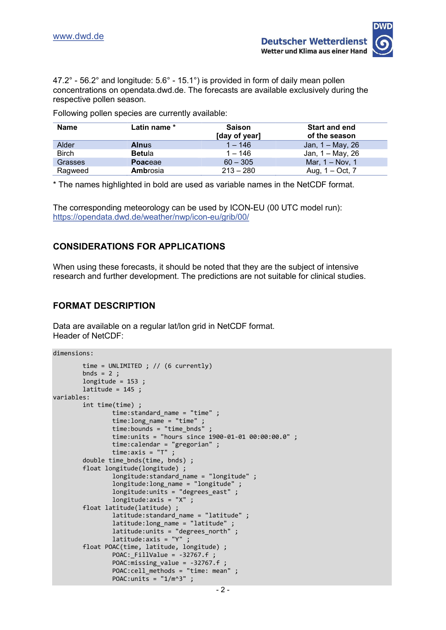

47.2° - 56.2° and longitude: 5.6° - 15.1°) is provided in form of daily mean pollen concentrations on opendata.dwd.de. The forecasts are available exclusively during the respective pollen season.

Following pollen species are currently available:

| Name           | Latin name *  | <b>Saison</b><br>[day of year] | <b>Start and end</b><br>of the season |
|----------------|---------------|--------------------------------|---------------------------------------|
| Alder          | <b>Alnus</b>  | $1 - 146$                      | Jan, 1 – May, 26                      |
| Birch          | <b>Betula</b> | $1 - 146$                      | Jan, 1 – May, 26                      |
| <b>Grasses</b> | Poaceae       | $60 - 305$                     | Mar, 1 – Nov, 1                       |
| Ragweed        | Ambrosia      | $213 - 280$                    | Aug, $1 - Oct$ , $7$                  |

\* The names highlighted in bold are used as variable names in the NetCDF format.

The corresponding meteorology can be used by ICON-EU (00 UTC model run): <https://opendata.dwd.de/weather/nwp/icon-eu/grib/00/>

# **CONSIDERATIONS FOR APPLICATIONS**

When using these forecasts, it should be noted that they are the subject of intensive research and further development. The predictions are not suitable for clinical studies.

# **FORMAT DESCRIPTION**

Data are available on a regular lat/lon grid in NetCDF format. Header of NetCDF:

dimensions:

```
 time = UNLIMITED ; // (6 currently)
        bnds = 2;
        longitude = 153 ;
        lattice = 145;
variables:
         int time(time) ;
                 time:standard_name = "time" ;
                 time:long_name = "time" ;
                time: bounds = "time_bnds" ;
                 time:units = "hours since 1900-01-01 00:00:00.0" ;
                 time:calendar = "gregorian" ;
                 time:axis = "T" ;
         double time_bnds(time, bnds) ;
         float longitude(longitude) ;
                 longitude:standard_name = "longitude" ;
                 longitude:long_name = "longitude" ;
                longitude:units = "degrees east" ;
                 longitude:axis = "X" ;
         float latitude(latitude) ;
                latitude: standard name = "latitude" ;
                latitude: long name = "latitude" ;
                latitude: units = "degrees north" ;
                 latitude:axis = "Y" ;
         float POAC(time, latitude, longitude) ;
                 POAC:_FillValue = -32767.f ;
                POAC:\text{missine value} = -32767.f
                POAC:cell methods = "time: mean" ;
                POAC:units = "1/m^3" ;
```